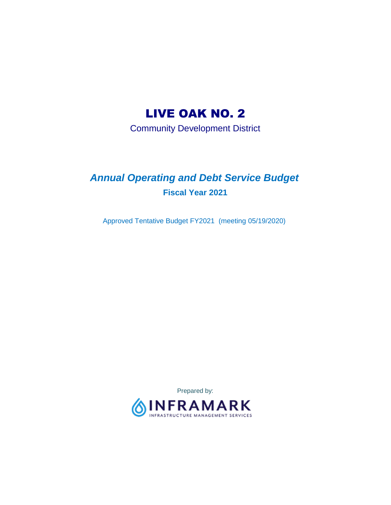# LIVE OAK NO. 2

Community Development District

## *Annual Operating and Debt Service Budget*  **Fiscal Year 2021**

Approved Tentative Budget FY2021 (meeting 05/19/2020)

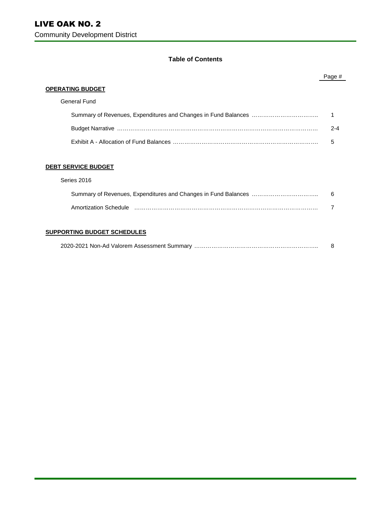#### **Table of Contents**

|                            | Page #  |
|----------------------------|---------|
| <b>OPERATING BUDGET</b>    |         |
| General Fund               |         |
|                            |         |
|                            | $2 - 4$ |
|                            | 5       |
|                            |         |
| <b>DEBT SERVICE BUDGET</b> |         |
| Series 2016                |         |
|                            | 6       |
|                            |         |

#### **SUPPORTING BUDGET SCHEDULES**

|--|--|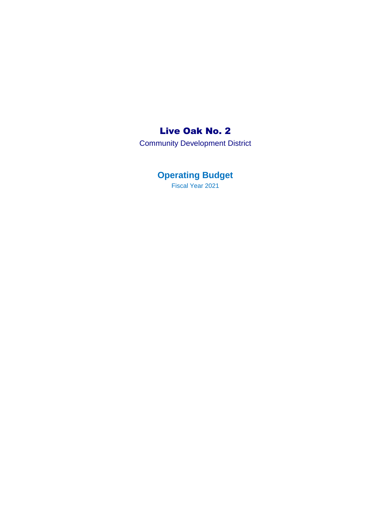## Live Oak No. 2

Community Development District

**Operating Budget**  Fiscal Year 2021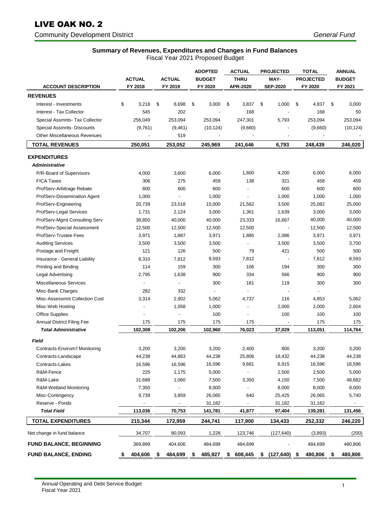## LIVE OAK NO. 2

#### Community Development District *General Fund*

## **Summary of Revenues, Expenditures and Changes in Fund Balances**

Fiscal Year 2021 Proposed Budget

|                                       | <b>ACTUAL</b>            | <b>ACTUAL</b>            | <b>ADOPTED</b><br><b>BUDGET</b> | <b>ACTUAL</b><br><b>THRU</b> | <b>PROJECTED</b><br>MAY- | <b>TOTAL</b><br><b>PROJECTED</b> |    | <b>ANNUAL</b><br><b>BUDGET</b> |
|---------------------------------------|--------------------------|--------------------------|---------------------------------|------------------------------|--------------------------|----------------------------------|----|--------------------------------|
| <b>ACCOUNT DESCRIPTION</b>            | FY 2018                  | FY 2019                  | FY 2020                         | APR-2020                     | <b>SEP-2020</b>          | FY 2020                          |    | FY 2021                        |
| <b>REVENUES</b>                       |                          |                          |                                 |                              |                          |                                  |    |                                |
| Interest - Investments                | \$<br>3,218              | \$<br>8,698              | \$<br>3,000                     | \$<br>3,837                  | \$<br>1,000              | \$<br>4,837                      | \$ | 3,000                          |
| Interest - Tax Collector              | 545                      | 202                      |                                 | 168                          |                          | 168                              |    | 50                             |
| Special Assmnts- Tax Collector        | 256,049                  | 253,094                  | 253,094                         | 247,301                      | 5,793                    | 253,094                          |    | 253,094                        |
| Special Assmnts- Discounts            | (9,761)                  | (9,461)                  | (10, 124)                       | (9,660)                      |                          | (9,660)                          |    | (10, 124)                      |
| <b>Other Miscellaneous Revenues</b>   |                          | 519                      |                                 |                              |                          |                                  |    |                                |
| <b>TOTAL REVENUES</b>                 | 250,051                  | 253,052                  | 245,969                         | 241,646                      | 6,793                    | 248,439                          |    | 246,020                        |
| <b>EXPENDITURES</b>                   |                          |                          |                                 |                              |                          |                                  |    |                                |
| <b>Administrative</b>                 |                          |                          |                                 |                              |                          |                                  |    |                                |
| P/R-Board of Supervisors              | 4,000                    | 3,600                    | 6,000                           | 1,800                        | 4,200                    | 6,000                            |    | 6,000                          |
| <b>FICA Taxes</b>                     | 306                      | 275                      | 459                             | 138                          | 321                      | 458                              |    | 459                            |
| ProfServ-Arbitrage Rebate             | 600                      | 600                      | 600                             | $\blacksquare$               | 600                      | 600                              |    | 600                            |
| ProfServ-Dissemination Agent          | 1,000                    | $\overline{\phantom{a}}$ | 1,000                           | $\blacksquare$               | 1,000                    | 1,000                            |    | 1,000                          |
| ProfServ-Engineering                  | 20,739                   | 23,518                   | 15,000                          | 21,582                       | 3,500                    | 25,082                           |    | 25,000                         |
| ProfServ-Legal Services               | 1,731                    | 2,124                    | 3,000                           | 1,361                        | 1,639                    | 3,000                            |    | 3,000                          |
| ProfServ-Mgmt Consulting Serv         | 38,850                   | 40,000                   | 40,000                          | 23,333                       | 16,667                   | 40,000                           |    | 40,000                         |
| ProfServ-Special Assessment           | 12,500                   | 12,500                   | 12,500                          | 12,500                       | $\overline{\phantom{a}}$ | 12,500                           |    | 12,500                         |
| ProfServ-Trustee Fees                 | 3,971                    | 1,887                    | 3,971                           | 1,885                        | 2,086                    | 3,971                            |    | 3,971                          |
| <b>Auditing Services</b>              | 3,500                    | 3,500                    | 3,500                           |                              | 3,500                    | 3,500                            |    | 3,700                          |
| Postage and Freight                   | 121                      | 126                      | 500                             | 79                           | 421                      | 500                              |    | 500                            |
| Insurance - General Liability         | 8,310                    | 7,812                    | 8,593                           | 7,812                        |                          | 7,812                            |    | 8,593                          |
| Printing and Binding                  | 114                      | 159                      | 300                             | 106                          | 194                      | 300                              |    | 300                            |
| Legal Advertising                     | 2,795                    | 1,638                    | 900                             | 334                          | 566                      | 900                              |    | 900                            |
| Miscellaneous Services                |                          | $\blacksquare$           | 300                             | 181                          | 119                      | 300                              |    | 300                            |
| Misc-Bank Charges                     | 282                      | 332                      |                                 | $\overline{\phantom{a}}$     |                          | $\blacksquare$                   |    |                                |
| Misc-Assessmnt Collection Cost        | 3,314                    | 2,902                    | 5,062                           | 4,737                        | 116                      | 4,853                            |    | 5,062                          |
| Misc-Web Hosting                      |                          | 1,058                    | 1,000                           | $\overline{\phantom{a}}$     | 2,000                    | 2,000                            |    | 2,604                          |
| Office Supplies                       |                          | $\overline{\phantom{a}}$ | 100                             |                              | 100                      | 100                              |    | 100                            |
| <b>Annual District Filing Fee</b>     | 175                      | 175                      | 175                             | 175                          |                          | 175                              |    | 175                            |
| <b>Total Administrative</b>           | 102,308                  | 102,206                  | 102,960                         | 76,023                       | 37,029                   | 113,051                          |    | 114,764                        |
| <b>Field</b>                          |                          |                          |                                 |                              |                          |                                  |    |                                |
| <b>Contracts-Envirom'l Monitoring</b> | 3,200                    | 3,200                    | 3,200                           | 2,400                        | 800                      | 3,200                            |    | 3,200                          |
| Contracts-Landscape                   | 44,238                   | 44,863                   | 44,238                          | 25,806                       | 18,432                   | 44,238                           |    | 44,238                         |
| Contracts-Lakes                       | 16,596                   | 16,596                   | 16,596                          | 9,681                        | 6,915                    | 16,596                           |    | 16,596                         |
| R&M-Fence                             | 225                      | 1,175                    | 5,000                           | $\overline{\phantom{a}}$     | 2,500                    | 2,500                            |    | 5,000                          |
| R&M-Lake                              | 31,688                   | 1,060                    | 7,500                           | 3,350                        | 4,150                    | 7,500                            |    | 48,682                         |
| R&M-Wetland Monitoring                | 7,350                    |                          | 8,000                           | $\overline{\phantom{a}}$     | 8,000                    | 8,000                            |    | 8,000                          |
| Misc-Contingency                      | 9,739                    | 3,859                    | 26,065                          | 640                          | 25,425                   | 26,065                           |    | 5,740                          |
| Reserve - Ponds                       | $\overline{\phantom{a}}$ | $\overline{\phantom{a}}$ | 31,182                          |                              | 31,182                   | 31,182                           |    |                                |
| <b>Total Field</b>                    | 113,036                  | 70,753                   | 141,781                         | 41,877                       | 97,404                   | 139,281                          |    | 131,456                        |
|                                       |                          |                          |                                 |                              |                          |                                  |    |                                |
| <b>TOTAL EXPENDITURES</b>             | 215,344                  | 172,959                  | 244,741                         | 117,900                      | 134,433                  | 252,332                          |    | 246,220                        |
| Net change in fund balance            | 34,707                   | 80,093                   | 1,228                           | 123,746                      | (127,640)                | (3,893)                          |    | (200)                          |
| <b>FUND BALANCE, BEGINNING</b>        | 369,899                  | 404,606                  | 484,699                         | 484,699                      |                          | 484,699                          |    | 480,806                        |
| <b>FUND BALANCE, ENDING</b>           | 404,606<br>\$            | 484,699<br>\$            | 485,927<br>\$                   | 608,445<br>\$                | $$$ (127,640) \$         | 480,806                          | \$ | 480,806                        |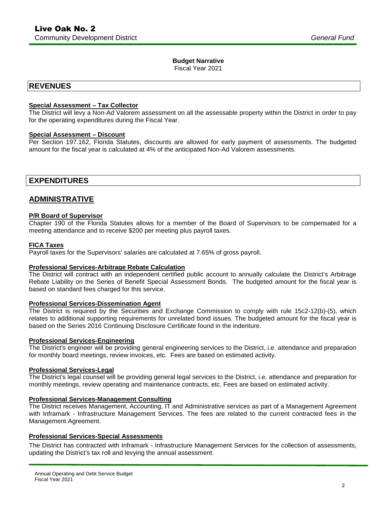#### **Budget Narrative**

Fiscal Year 2021

### **REVENUES**

#### **Special Assessment – Tax Collector**

The District will levy a Non-Ad Valorem assessment on all the assessable property within the District in order to pay for the operating expenditures during the Fiscal Year.

#### **Special Assessment – Discount**

Per Section 197.162, Florida Statutes, discounts are allowed for early payment of assessments. The budgeted amount for the fiscal year is calculated at 4% of the anticipated Non-Ad Valorem assessments.

## **EXPENDITURES**

## **ADMINISTRATIVE**

#### **P/R Board of Supervisor**

Chapter 190 of the Florida Statutes allows for a member of the Board of Supervisors to be compensated for a meeting attendance and to receive \$200 per meeting plus payroll taxes.

#### **FICA Taxes**

Payroll taxes for the Supervisors' salaries are calculated at 7.65% of gross payroll.

#### **Professional Services-Arbitrage Rebate Calculation**

The District will contract with an independent certified public account to annually calculate the District's Arbitrage Rebate Liability on the Series of Benefit Special Assessment Bonds. The budgeted amount for the fiscal year is based on standard fees charged for this service.

#### **Professional Services-Dissemination Agent**

The District is required by the Securities and Exchange Commission to comply with rule 15c2-12(b)-(5), which relates to additional supporting requirements for unrelated bond issues. The budgeted amount for the fiscal year is based on the Series 2016 Continuing Disclosure Certificate found in the indenture.

#### **Professional Services-Engineering**

The District's engineer will be providing general engineering services to the District, i.e. attendance and preparation for monthly board meetings, review invoices, etc. Fees are based on estimated activity.

#### **Professional Services-Legal**

The District's legal counsel will be providing general legal services to the District, i.e. attendance and preparation for monthly meetings, review operating and maintenance contracts, etc. Fees are based on estimated activity.

#### **Professional Services-Management Consulting**

The District receives Management, Accounting, IT and Administrative services as part of a Management Agreement with Inframark - Infrastructure Management Services. The fees are related to the current contracted fees in the Management Agreement.

#### **Professional Services-Special Assessments**

The District has contracted with Inframark - Infrastructure Management Services for the collection of assessments, updating the District's tax roll and levying the annual assessment.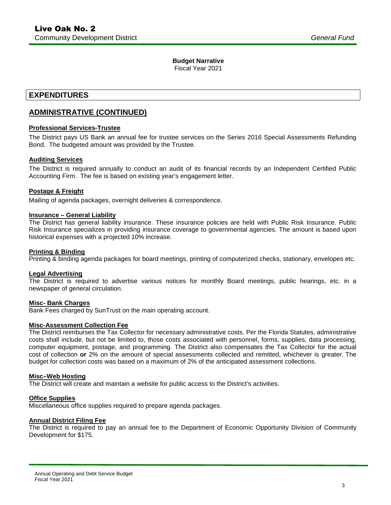### **Budget Narrative**

Fiscal Year 2021

## **EXPENDITURES**

## **ADMINISTRATIVE (CONTINUED)**

#### **Professional Services-Trustee**

The District pays US Bank an annual fee for trustee services on the Series 2016 Special Assessments Refunding Bond. The budgeted amount was provided by the Trustee.

#### **Auditing Services**

The District is required annually to conduct an audit of its financial records by an Independent Certified Public Accounting Firm. The fee is based on existing year's engagement letter.

#### **Postage & Freight**

Mailing of agenda packages, overnight deliveries & correspondence.

#### **Insurance – General Liability**

The District has general liability insurance. These insurance policies are held with Public Risk Insurance. Public Risk Insurance specializes in providing insurance coverage to governmental agencies. The amount is based upon historical expenses with a projected 10% increase.

#### **Printing & Binding**

Printing & binding agenda packages for board meetings, printing of computerized checks, stationary, envelopes etc.

#### **Legal Advertising**

The District is required to advertise various notices for monthly Board meetings, public hearings, etc. in a newspaper of general circulation.

#### **Misc- Bank Charges**

Bank Fees charged by SunTrust on the main operating account.

#### **Misc-Assessment Collection Fee**

The District reimburses the Tax Collector for necessary administrative costs. Per the Florida Statutes, administrative costs shall include, but not be limited to, those costs associated with personnel, forms, supplies, data processing, computer equipment, postage, and programming. The District also compensates the Tax Collector for the actual cost of collection **or** 2% on the amount of special assessments collected and remitted, whichever is greater. The budget for collection costs was based on a maximum of 2% of the anticipated assessment collections.

#### **Misc–Web Hosting**

The District will create and maintain a website for public access to the District's activities.

#### **Office Supplies**

Miscellaneous office supplies required to prepare agenda packages.

#### **Annual District Filing Fee**

The District is required to pay an annual fee to the Department of Economic Opportunity Division of Community Development for \$175.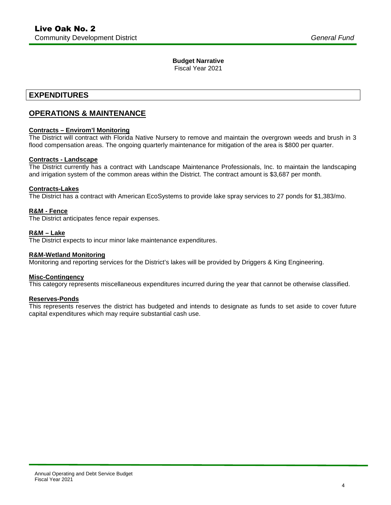### **Budget Narrative**

Fiscal Year 2021

## **EXPENDITURES**

## **OPERATIONS & MAINTENANCE**

#### **Contracts – Envirom'l Monitoring**

The District will contract with Florida Native Nursery to remove and maintain the overgrown weeds and brush in 3 flood compensation areas. The ongoing quarterly maintenance for mitigation of the area is \$800 per quarter.

#### **Contracts - Landscape**

The District currently has a contract with Landscape Maintenance Professionals, Inc. to maintain the landscaping and irrigation system of the common areas within the District. The contract amount is \$3,687 per month.

#### **Contracts-Lakes**

The District has a contract with American EcoSystems to provide lake spray services to 27 ponds for \$1,383/mo.

#### **R&M - Fence**

The District anticipates fence repair expenses.

#### **R&M – Lake**

The District expects to incur minor lake maintenance expenditures.

#### **R&M-Wetland Monitoring**

Monitoring and reporting services for the District's lakes will be provided by Driggers & King Engineering.

#### **Misc-Contingency**

This category represents miscellaneous expenditures incurred during the year that cannot be otherwise classified.

#### **Reserves-Ponds**

This represents reserves the district has budgeted and intends to designate as funds to set aside to cover future capital expenditures which may require substantial cash use.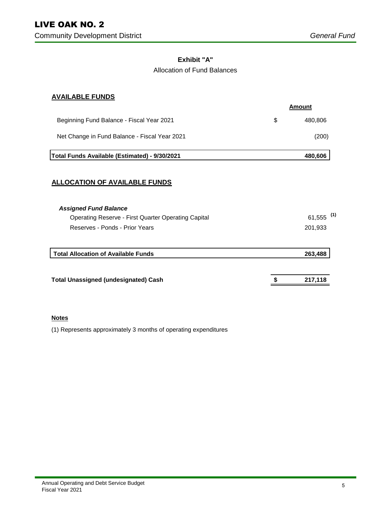### **Exhibit "A"**

### Allocation of Fund Balances

### **AVAILABLE FUNDS**

|                                                     | <b>Amount</b> |
|-----------------------------------------------------|---------------|
| Beginning Fund Balance - Fiscal Year 2021           | \$<br>480,806 |
| Net Change in Fund Balance - Fiscal Year 2021       | (200)         |
| Total Funds Available (Estimated) - 9/30/2021       | 480,606       |
| <b>ALLOCATION OF AVAILABLE FUNDS</b>                |               |
| <b>Assigned Fund Balance</b>                        |               |
| Operating Reserve - First Quarter Operating Capital | (1)<br>61,555 |
| Reserves - Ponds - Prior Years                      | 201,933       |
| <b>Total Allocation of Available Funds</b>          | 263,488       |
| <b>Total Unassigned (undesignated) Cash</b>         | 217,118       |

### **Notes**

(1) Represents approximately 3 months of operating expenditures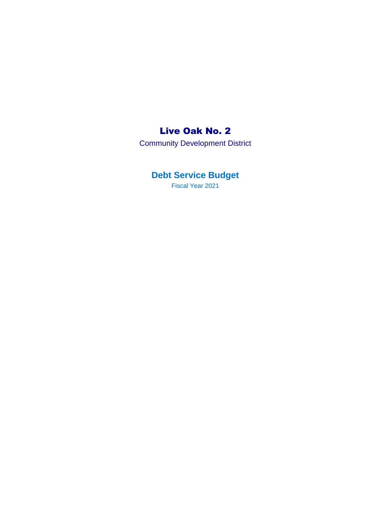## Live Oak No. 2

Community Development District

## **Debt Service Budget**

Fiscal Year 2021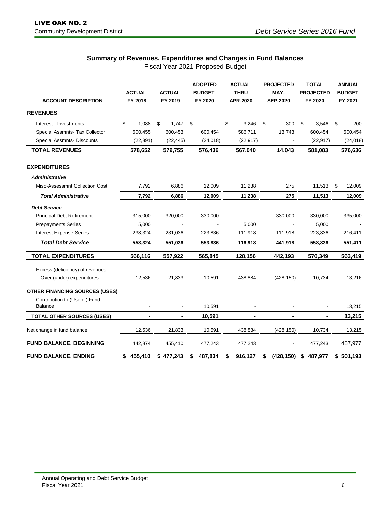## **Summary of Revenues, Expenditures and Changes in Fund Balances**

Fiscal Year 2021 Proposed Budget

|                                       |    |               |    |                |    | <b>ADOPTED</b> | <b>ACTUAL</b>  |                 | <b>PROJECTED</b> | <b>TOTAL</b>     |                |               | <b>ANNUAL</b> |
|---------------------------------------|----|---------------|----|----------------|----|----------------|----------------|-----------------|------------------|------------------|----------------|---------------|---------------|
|                                       |    | <b>ACTUAL</b> |    | <b>ACTUAL</b>  |    | <b>BUDGET</b>  | <b>THRU</b>    | MAY-            |                  | <b>PROJECTED</b> |                | <b>BUDGET</b> |               |
| <b>ACCOUNT DESCRIPTION</b>            |    | FY 2018       |    | FY 2019        |    | FY 2020        | APR-2020       | <b>SEP-2020</b> |                  | FY 2020          |                | FY 2021       |               |
| <b>REVENUES</b>                       |    |               |    |                |    |                |                |                 |                  |                  |                |               |               |
| Interest - Investments                | \$ | 1,088         | \$ | 1,747          | \$ |                | \$<br>3,246    | \$              | 300              | \$               | 3,546          | \$            | 200           |
| Special Assmnts- Tax Collector        |    | 600,455       |    | 600,453        |    | 600,454        | 586,711        |                 | 13,743           |                  | 600,454        |               | 600,454       |
| Special Assmnts- Discounts            |    | (22, 891)     |    | (22, 445)      |    | (24, 018)      | (22, 917)      |                 |                  |                  | (22, 917)      |               | (24, 018)     |
| <b>TOTAL REVENUES</b>                 |    | 578,652       |    | 579,755        |    | 576,436        | 567,040        |                 | 14,043           |                  | 581,083        |               | 576,636       |
| <b>EXPENDITURES</b>                   |    |               |    |                |    |                |                |                 |                  |                  |                |               |               |
| <b>Administrative</b>                 |    |               |    |                |    |                |                |                 |                  |                  |                |               |               |
| Misc-Assessmnt Collection Cost        |    | 7,792         |    | 6,886          |    | 12,009         | 11,238         |                 | 275              |                  | 11,513         | \$            | 12,009        |
| <b>Total Administrative</b>           |    | 7,792         |    | 6,886          |    | 12,009         | 11,238         |                 | 275              |                  | 11,513         |               | 12,009        |
| <b>Debt Service</b>                   |    |               |    |                |    |                |                |                 |                  |                  |                |               |               |
| <b>Principal Debt Retirement</b>      |    | 315,000       |    | 320,000        |    | 330,000        |                |                 | 330,000          |                  | 330,000        |               | 335,000       |
| <b>Prepayments Series</b>             |    | 5,000         |    |                |    |                | 5,000          |                 |                  |                  | 5,000          |               |               |
| <b>Interest Expense Series</b>        |    | 238,324       |    | 231,036        |    | 223,836        | 111,918        |                 | 111,918          |                  | 223,836        |               | 216,411       |
| <b>Total Debt Service</b>             |    | 558,324       |    | 551,036        |    | 553,836        | 116,918        |                 | 441,918          |                  | 558,836        |               | 551,411       |
| <b>TOTAL EXPENDITURES</b>             |    | 566,116       |    | 557,922        |    | 565,845        | 128,156        |                 | 442,193          |                  | 570,349        |               | 563,419       |
| Excess (deficiency) of revenues       |    |               |    |                |    |                |                |                 |                  |                  |                |               |               |
| Over (under) expenditures             |    | 12,536        |    | 21,833         |    | 10,591         | 438,884        |                 | (428, 150)       |                  | 10,734         |               | 13,216        |
| <b>OTHER FINANCING SOURCES (USES)</b> |    |               |    |                |    |                |                |                 |                  |                  |                |               |               |
| Contribution to (Use of) Fund         |    |               |    |                |    |                |                |                 |                  |                  |                |               |               |
| <b>Balance</b>                        |    |               |    |                |    | 10,591         |                |                 |                  |                  |                |               | 13,215        |
| <b>TOTAL OTHER SOURCES (USES)</b>     |    | ۰             |    | $\blacksquare$ |    | 10,591         | $\blacksquare$ |                 | $\blacksquare$   |                  | $\blacksquare$ |               | 13,215        |
| Net change in fund balance            |    | 12,536        |    | 21,833         |    | 10,591         | 438,884        |                 | (428, 150)       |                  | 10,734         |               | 13,215        |
| <b>FUND BALANCE, BEGINNING</b>        |    | 442,874       |    | 455,410        |    | 477,243        | 477,243        |                 |                  |                  | 477,243        |               | 487,977       |
| <b>FUND BALANCE, ENDING</b>           | \$ | 455,410       |    | \$477,243      | \$ | 487,834        | 916,127        | \$              | (428, 150)       | \$               | 487,977        |               | \$501,193     |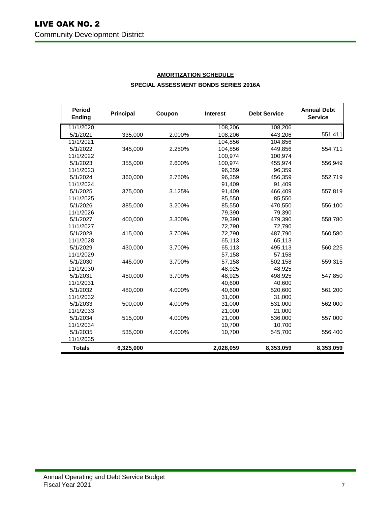| <b>Period</b><br><b>Ending</b> | <b>Principal</b> | Coupon | <b>Interest</b> | <b>Debt Service</b> | <b>Annual Debt</b><br><b>Service</b> |
|--------------------------------|------------------|--------|-----------------|---------------------|--------------------------------------|
| 11/1/2020                      |                  |        | 108,206         | 108,206             |                                      |
| 5/1/2021                       | 335,000          | 2.000% | 108,206         | 443,206             | 551,411                              |
| 11/1/2021                      |                  |        | 104,856         | 104,856             |                                      |
| 5/1/2022                       | 345,000          | 2.250% | 104,856         | 449,856             | 554,711                              |
| 11/1/2022                      |                  |        | 100,974         | 100,974             |                                      |
| 5/1/2023                       | 355,000          | 2.600% | 100,974         | 455,974             | 556,949                              |
| 11/1/2023                      |                  |        | 96,359          | 96,359              |                                      |
| 5/1/2024                       | 360,000          | 2.750% | 96,359          | 456,359             | 552,719                              |
| 11/1/2024                      |                  |        | 91,409          | 91,409              |                                      |
| 5/1/2025                       | 375,000          | 3.125% | 91,409          | 466,409             | 557,819                              |
| 11/1/2025                      |                  |        | 85,550          | 85,550              |                                      |
| 5/1/2026                       | 385,000          | 3.200% | 85,550          | 470,550             | 556,100                              |
| 11/1/2026                      |                  |        | 79,390          | 79,390              |                                      |
| 5/1/2027                       | 400,000          | 3.300% | 79,390          | 479,390             | 558,780                              |
| 11/1/2027                      |                  |        | 72,790          | 72,790              |                                      |
| 5/1/2028                       | 415,000          | 3.700% | 72,790          | 487,790             | 560,580                              |
| 11/1/2028                      |                  |        | 65,113          | 65,113              |                                      |
| 5/1/2029                       | 430,000          | 3.700% | 65,113          | 495,113             | 560,225                              |
| 11/1/2029                      |                  |        | 57.158          | 57.158              |                                      |
| 5/1/2030                       | 445,000          | 3.700% | 57,158          | 502,158             | 559,315                              |
| 11/1/2030                      |                  |        | 48,925          | 48,925              |                                      |
| 5/1/2031                       | 450,000          | 3.700% | 48,925          | 498,925             | 547,850                              |
| 11/1/2031                      |                  |        | 40,600          | 40,600              |                                      |
| 5/1/2032                       | 480,000          | 4.000% | 40,600          | 520,600             | 561,200                              |
| 11/1/2032                      |                  |        | 31,000          | 31,000              |                                      |
| 5/1/2033                       | 500,000          | 4.000% | 31,000          | 531,000             | 562,000                              |
| 11/1/2033                      |                  |        | 21,000          | 21,000              |                                      |
| 5/1/2034                       | 515,000          | 4.000% | 21,000          | 536,000             | 557,000                              |
| 11/1/2034                      |                  |        | 10,700          | 10,700              |                                      |
| 5/1/2035                       | 535,000          | 4.000% | 10,700          | 545,700             | 556,400                              |
| 11/1/2035                      |                  |        |                 |                     |                                      |
| <b>Totals</b>                  | 6,325,000        |        | 2,028,059       | 8,353,059           | 8,353,059                            |

## **AMORTIZATION SCHEDULE SPECIAL ASSESSMENT BONDS SERIES 2016A**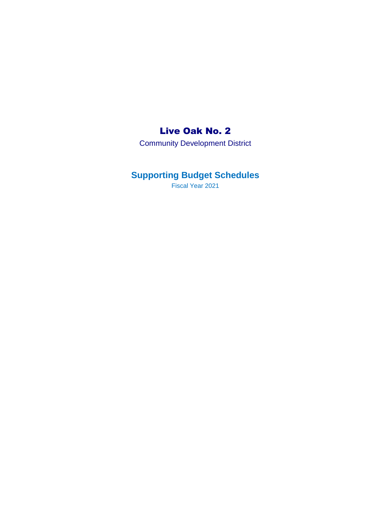## Live Oak No. 2

Community Development District

## **Supporting Budget Schedules**

Fiscal Year 2021